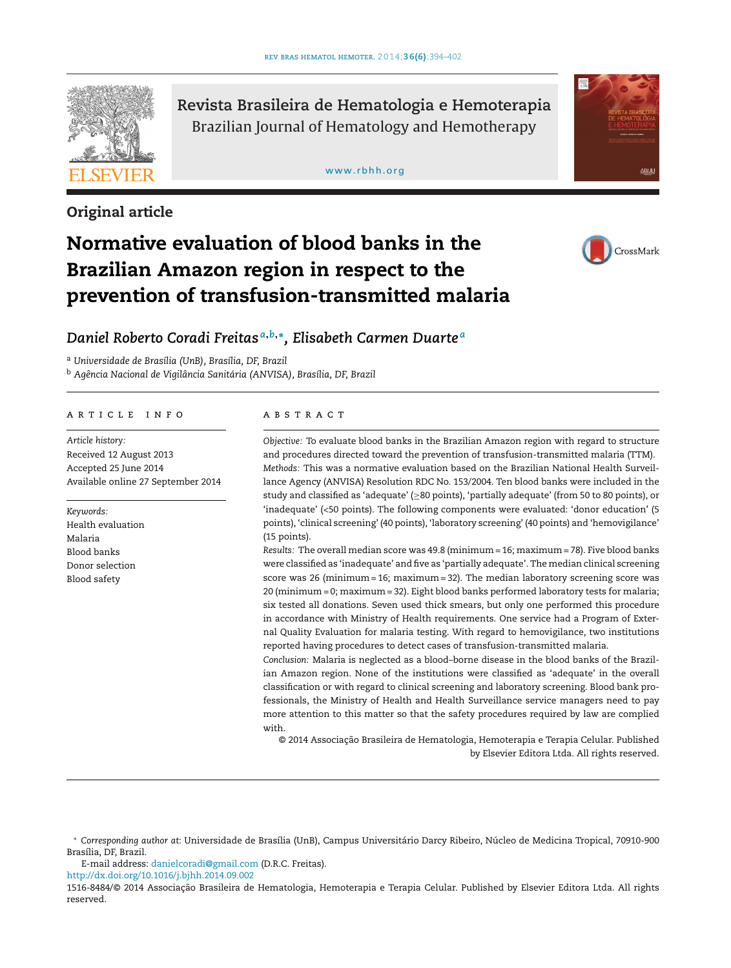

**Original article**

**Revista Brasileira de Hematologia e Hemoterapia** Brazilian Journal of Hematology and Hemotherapy

[www.rbhh.org](http://www.rbhh.org)



# **Normative evaluation of blood banks in the Brazilian Amazon region in respect to the prevention of transfusion-transmitted malaria**



# *Daniel Roberto Coradi Freitas <sup>a</sup>***,***b***,∗***, Elisabeth Carmen Duarte <sup>a</sup>*

<sup>a</sup> *Universidade de Brasília (UnB), Brasília, DF, Brazil*

<sup>b</sup> *Agência Nacional de Vigilância Sanitária (ANVISA), Brasília, DF, Brazil*

#### a r t i c l e i n f o

*Article history:* Received 12 August 2013 Accepted 25 June 2014 Available online 27 September 2014

*Keywords:* Health evaluation Malaria Blood banks Donor selection Blood safety

#### A B S T R A C T

*Objective:* To evaluate blood banks in the Brazilian Amazon region with regard to structure and procedures directed toward the prevention of transfusion-transmitted malaria (TTM). *Methods:* This was a normative evaluation based on the Brazilian National Health Surveillance Agency (ANVISA) Resolution RDC No. 153/2004. Ten blood banks were included in the study and classified as 'adequate' (≥80 points), 'partially adequate' (from 50 to 80 points), or 'inadequate' (<50 points). The following components were evaluated: 'donor education' (5 points), 'clinical screening' (40 points), 'laboratory screening' (40 points) and 'hemovigilance' (15 points).

*Results:* The overall median score was 49.8 (minimum= 16; maximum= 78). Five blood banks were classified as 'inadequate' and five as 'partially adequate'. The median clinical screening score was 26 (minimum= 16; maximum= 32). The median laboratory screening score was 20 (minimum= 0; maximum= 32). Eight blood banks performed laboratory tests for malaria; six tested all donations. Seven used thick smears, but only one performed this procedure in accordance with Ministry of Health requirements. One service had a Program of External Quality Evaluation for malaria testing. With regard to hemovigilance, two institutions reported having procedures to detect cases of transfusion-transmitted malaria.

*Conclusion:* Malaria is neglected as a blood–borne disease in the blood banks of the Brazilian Amazon region. None of the institutions were classified as 'adequate' in the overall classification or with regard to clinical screening and laboratory screening. Blood bank professionals, the Ministry of Health and Health Surveillance service managers need to pay more attention to this matter so that the safety procedures required by law are complied with.

© 2014 Associação Brasileira de Hematologia, Hemoterapia e Terapia Celular. Published by Elsevier Editora Ltda. All rights reserved.

E-mail address: [danielcoradi@gmail.com](mailto:danielcoradi@gmail.com) (D.R.C. Freitas).

<sup>∗</sup> *Corresponding author at*: Universidade de Brasília (UnB), Campus Universitário Darcy Ribeiro, Núcleo de Medicina Tropical, 70910-900 Brasília, DF, Brazil.

[http://dx.doi.org/10.1016/j.bjhh.2014.09.002](dx.doi.org/10.1016/j.bjhh.2014.09.002)

<sup>1516-8484/© 2014</sup> Associação Brasileira de Hematologia, Hemoterapia e Terapia Celular. Published by Elsevier Editora Ltda. All rights reserved.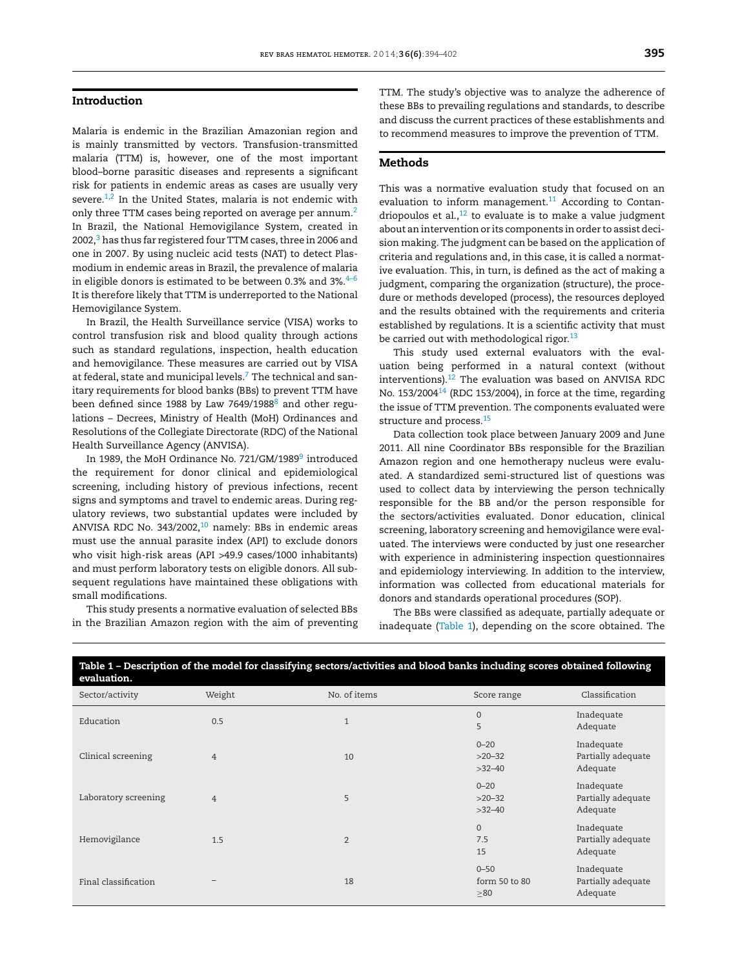#### **Introduction**

Malaria is endemic in the Brazilian Amazonian region and is mainly transmitted by vectors. Transfusion-transmitted malaria (TTM) is, however, one of the most important blood–borne parasitic diseases and represents a significant risk for patients in endemic areas as cases are usually very severe. $1,2$  In the United States, malaria is not endemic with only three TTM cases being reported on average per annum.<sup>2</sup> In Brazil, the National Hemovigilance System, created in 2002,<sup>3</sup> [h](#page-8-0)as thus far registered four TTM cases, three in 2006 and one in 2007. By using nucleic acid tests (NAT) to detect Plasmodium in endemic areas in Brazil, the prevalence of malaria in eligible donors is estimated to be between 0.3% and  $3\%$ .<sup>[4–6](#page-8-0)</sup> It is therefore likely that TTM is underreported to the National Hemovigilance System.

In Brazil, the Health Surveillance service (VISA) works to control transfusion risk and blood quality through actions such as standard regulations, inspection, health education and hemovigilance. These measures are carried out by VISA at federal, state and municipal levels. $7$  The technical and sanitary requirements for blood banks (BBs) to prevent TTM have been defined since 19[88](#page-8-0) by Law  $7649/1988<sup>8</sup>$  and other regulations – Decrees, Ministry of Health (MoH) Ordinances and Resolutions of the Collegiate Directorate (RDC) of the National Health Surveillance Agency (ANVISA).

In 1[9](#page-8-0)89, the MoH Ordinance No. 721/GM/1989 $9$  introduced the requirement for donor clinical and epidemiological screening, including history of previous infections, recent signs and symptoms and travel to endemic areas. During regulatory reviews, two substantial updates were included by ANVISA RDC No.  $343/2002$ , $10$  namely: BBs in endemic areas must use the annual parasite index (API) to exclude donors who visit high-risk areas (API >49.9 cases/1000 inhabitants) and must perform laboratory tests on eligible donors. All subsequent regulations have maintained these obligations with small modifications.

This study presents a normative evaluation of selected BBs in the Brazilian Amazon region with the aim of preventing TTM. The study's objective was to analyze the adherence of these BBs to prevailing regulations and standards, to describe and discuss the current practices of these establishments and to recommend measures to improve the prevention of TTM.

#### **Methods**

This was a normative evaluation study that focused on an evaluation to inform management.<sup>[11](#page-8-0)</sup> According to Contandriopoulos et al.. $^{12}$  $^{12}$  $^{12}$  to evaluate is to make a value judgment about an intervention or its components in order to assist decision making. The judgment can be based on the application of criteria and regulations and, in this case, it is called a normative evaluation. This, in turn, is defined as the act of making a judgment, comparing the organization (structure), the procedure or methods developed (process), the resources deployed and the results obtained with the requirements and criteria established by regulations. It is a scientific activity that must be carried out with methodological rigor. $13$ 

This study used external evaluators with the evaluation being performed in a natural context (without interventions). $12$  The evaluation was based on ANVISA RDC No.  $153/2004^{14}$  $153/2004^{14}$  $153/2004^{14}$  (RDC 153/2004), in force at the time, regarding the issue of TTM prevention. The components evaluated were structure and process.<sup>[15](#page-8-0)</sup>

Data collection took place between January 2009 and June 2011. All nine Coordinator BBs responsible for the Brazilian Amazon region and one hemotherapy nucleus were evaluated. A standardized semi-structured list of questions was used to collect data by interviewing the person technically responsible for the BB and/or the person responsible for the sectors/activities evaluated. Donor education, clinical screening, laboratory screening and hemovigilance were evaluated. The interviews were conducted by just one researcher with experience in administering inspection questionnaires and epidemiology interviewing. In addition to the interview, information was collected from educational materials for donors and standards operational procedures (SOP).

The BBs were classified as adequate, partially adequate or inadequate (Table 1), depending on the score obtained. The

| Table 1 - Description of the model for classifying sectors/activities and blood banks including scores obtained following<br>evaluation. |                |                |                                  |                                              |  |  |  |  |  |  |  |
|------------------------------------------------------------------------------------------------------------------------------------------|----------------|----------------|----------------------------------|----------------------------------------------|--|--|--|--|--|--|--|
| Sector/activity                                                                                                                          | Weight         | No. of items   | Score range                      | Classification                               |  |  |  |  |  |  |  |
| Education                                                                                                                                | 0.5            | $\mathbf 1$    | $\mathbf{0}$<br>5                | Inadequate<br>Adequate                       |  |  |  |  |  |  |  |
| Clinical screening                                                                                                                       | $\overline{4}$ | 10             | $0 - 20$<br>$>20-32$<br>$>32-40$ | Inadequate<br>Partially adequate<br>Adequate |  |  |  |  |  |  |  |
| Laboratory screening                                                                                                                     | $\overline{4}$ | 5              | $0 - 20$<br>$>20-32$<br>$>32-40$ | Inadequate<br>Partially adequate<br>Adequate |  |  |  |  |  |  |  |
| Hemovigilance                                                                                                                            | 1.5            | $\overline{2}$ | $\mathbf{0}$<br>7.5<br>15        | Inadequate<br>Partially adequate<br>Adequate |  |  |  |  |  |  |  |
| Final classification                                                                                                                     |                | 18             | $0 - 50$<br>form 50 to 80<br>>80 | Inadequate<br>Partially adequate<br>Adequate |  |  |  |  |  |  |  |

| evaluation.     |        |              |             |                |
|-----------------|--------|--------------|-------------|----------------|
| Sector/activity | Weight | No. of items | Score range | Classification |
| Education       | 0.5    |              |             | Inadequate     |
|                 |        |              |             | Adequate       |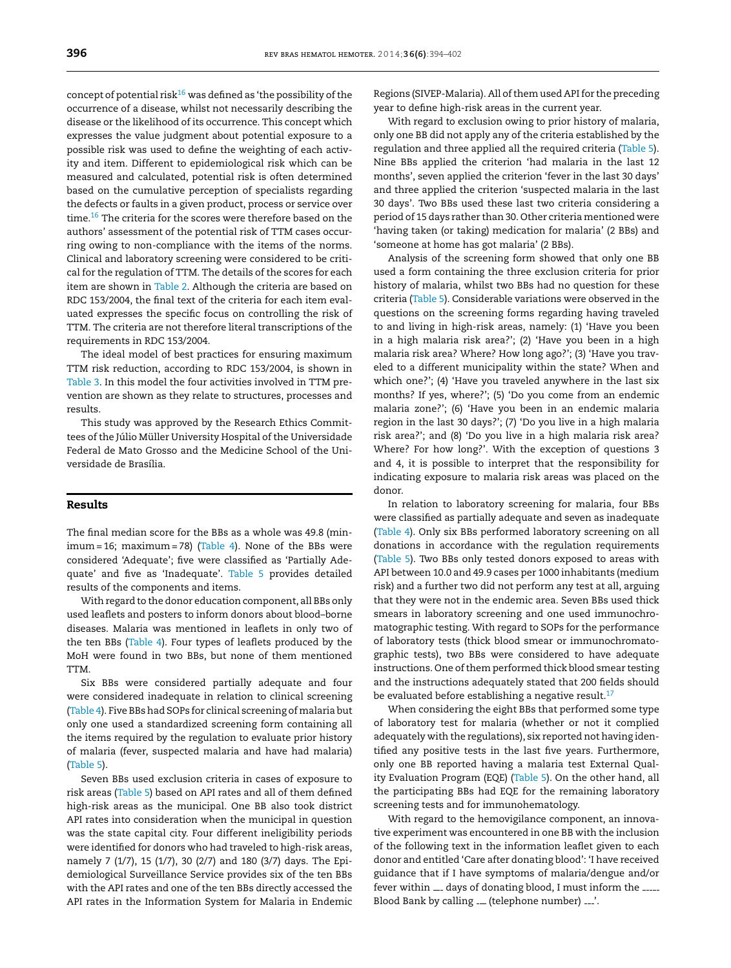concept of potential risk $16$  was defined as 'the possibility of the occurrence of a disease, whilst not necessarily describing the disease or the likelihood of its occurrence. This concept which expresses the value judgment about potential exposure to a possible risk was used to define the weighting of each activity and item. Different to epidemiological risk which can be measured and calculated, potential risk is often determined based on the cumulative perception of specialists regarding the defects or faults in a given product, process or service over time.<sup>16</sup> The criteria for the scores were therefore based on the authors' assessment of the potential risk of TTM cases occurring owing to non-compliance with the items of the norms. Clinical and laboratory screening were considered to be critical for the regulation of TTM. The details of the scores for each item are shown in [Table](#page-3-0) 2. Although the criteria are based on RDC 153/2004, the final text of the criteria for each item evaluated expresses the specific focus on controlling the risk of TTM. The criteria are not therefore literal transcriptions of the requirements in RDC 153/2004.

The ideal model of best practices for ensuring maximum TTM risk reduction, according to RDC 153/2004, is shown in [Table](#page-4-0) 3. In this model the four activities involved in TTM prevention are shown as they relate to structures, processes and results.

This study was approved by the Research Ethics Committees of the Júlio Müller University Hospital of the Universidade Federal de Mato Grosso and the Medicine School of the Universidade de Brasília.

# **Results**

The final median score for the BBs as a whole was 49.8 (min $imum = 16$ ; maximum = 78) [\(Table](#page-4-0) 4). None of the BBs were considered 'Adequate'; five were classified as 'Partially Adequate' and five as 'Inadequate'. [Table](#page-5-0) 5 provides detailed results of the components and items.

With regard to the donor education component, all BBs only used leaflets and posters to inform donors about blood–borne diseases. Malaria was mentioned in leaflets in only two of the ten BBs ([Table](#page-4-0) 4). Four types of leaflets produced by the MoH were found in two BBs, but none of them mentioned TTM.

Six BBs were considered partially adequate and four were considered inadequate in relation to clinical screening ([Table](#page-4-0) 4). Five BBs had SOPs for clinical screening of malaria but only one used a standardized screening form containing all the items required by the regulation to evaluate prior history of malaria (fever, suspected malaria and have had malaria) ([Table](#page-5-0) 5).

Seven BBs used exclusion criteria in cases of exposure to risk areas ([Table](#page-5-0) 5) based on API rates and all of them defined high-risk areas as the municipal. One BB also took district API rates into consideration when the municipal in question was the state capital city. Four different ineligibility periods were identified for donors who had traveled to high-risk areas, namely 7 (1/7), 15 (1/7), 30 (2/7) and 180 (3/7) days. The Epidemiological Surveillance Service provides six of the ten BBs with the API rates and one of the ten BBs directly accessed the API rates in the Information System for Malaria in Endemic Regions (SIVEP-Malaria). All of them used API for the preceding year to define high-risk areas in the current year.

With regard to exclusion owing to prior history of malaria, only one BB did not apply any of the criteria established by the regulation and three applied all the required criteria ([Table](#page-5-0) 5). Nine BBs applied the criterion 'had malaria in the last 12 months', seven applied the criterion 'fever in the last 30 days' and three applied the criterion 'suspected malaria in the last 30 days'. Two BBs used these last two criteria considering a period of 15 days rather than 30. Other criteria mentioned were 'having taken (or taking) medication for malaria' (2 BBs) and 'someone at home has got malaria' (2 BBs).

Analysis of the screening form showed that only one BB used a form containing the three exclusion criteria for prior history of malaria, whilst two BBs had no question for these criteria ([Table](#page-5-0) 5). Considerable variations were observed in the questions on the screening forms regarding having traveled to and living in high-risk areas, namely: (1) 'Have you been in a high malaria risk area?'; (2) 'Have you been in a high malaria risk area? Where? How long ago?'; (3) 'Have you traveled to a different municipality within the state? When and which one?'; (4) 'Have you traveled anywhere in the last six months? If yes, where?'; (5) 'Do you come from an endemic malaria zone?'; (6) 'Have you been in an endemic malaria region in the last 30 days?'; (7) 'Do you live in a high malaria risk area?'; and (8) 'Do you live in a high malaria risk area? Where? For how long?'. With the exception of questions 3 and 4, it is possible to interpret that the responsibility for indicating exposure to malaria risk areas was placed on the donor.

In relation to laboratory screening for malaria, four BBs were classified as partially adequate and seven as inadequate ([Table](#page-4-0) 4). Only six BBs performed laboratory screening on all donations in accordance with the regulation requirements ([Table](#page-5-0) 5). Two BBs only tested donors exposed to areas with API between 10.0 and 49.9 cases per 1000 inhabitants (medium risk) and a further two did not perform any test at all, arguing that they were not in the endemic area. Seven BBs used thick smears in laboratory screening and one used immunochromatographic testing. With regard to SOPs for the performance of laboratory tests (thick blood smear or immunochromatographic tests), two BBs were considered to have adequate instructions. One of them performed thick blood smear testing and the instructions adequately stated that 200 fields should be evaluated before establishing a negative result.<sup>[17](#page-8-0)</sup>

When considering the eight BBs that performed some type of laboratory test for malaria (whether or not it complied adequately with the regulations), six reported not having identified any positive tests in the last five years. Furthermore, only one BB reported having a malaria test External Quality Evaluation Program (EQE) ([Table](#page-5-0) 5). On the other hand, all the participating BBs had EQE for the remaining laboratory screening tests and for immunohematology.

With regard to the hemovigilance component, an innovative experiment was encountered in one BB with the inclusion of the following text in the information leaflet given to each donor and entitled 'Care after donating blood': 'I have received guidance that if I have symptoms of malaria/dengue and/or fever within  $\ldots$  days of donating blood, I must inform the  $\ldots$ Blood Bank by calling  $\ldots$  (telephone number)  $\ldots'$ .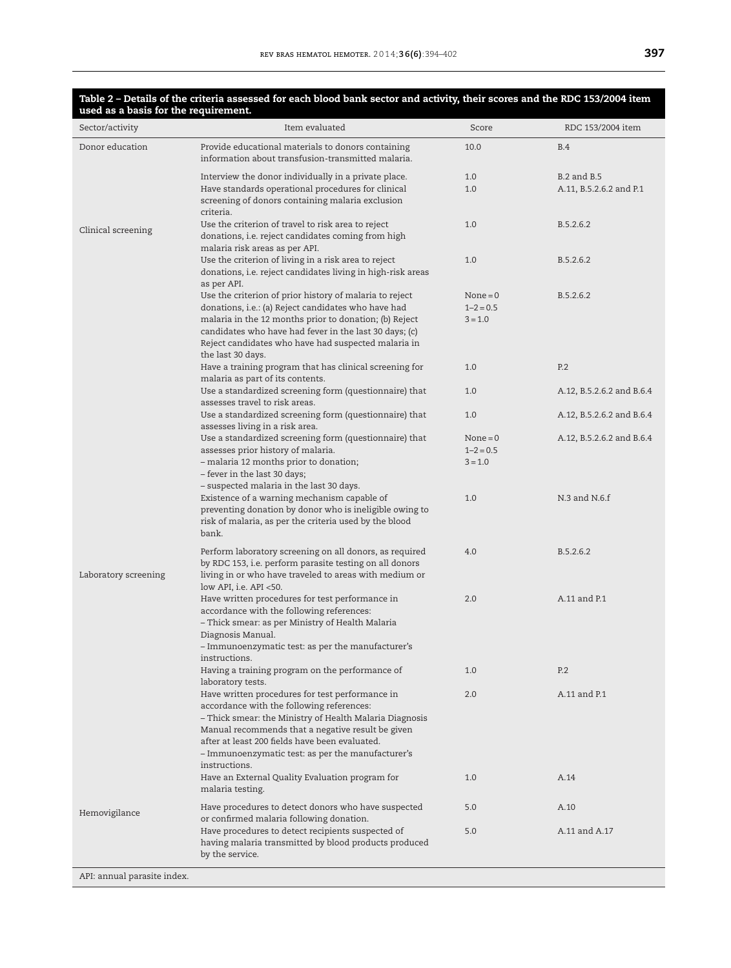| Sector/activity      | Item evaluated                                                                                           | Score                       | RDC 153/2004 item         |
|----------------------|----------------------------------------------------------------------------------------------------------|-----------------------------|---------------------------|
| Donor education      | Provide educational materials to donors containing<br>information about transfusion-transmitted malaria. | 10.0                        | B.4                       |
|                      | Interview the donor individually in a private place.                                                     | 1.0                         | <b>B.2</b> and <b>B.5</b> |
|                      | Have standards operational procedures for clinical                                                       | 1.0                         | A.11, B.5.2.6.2 and P.1   |
|                      | screening of donors containing malaria exclusion                                                         |                             |                           |
|                      | criteria.                                                                                                |                             |                           |
|                      | Use the criterion of travel to risk area to reject                                                       | 1.0                         | B.5.2.6.2                 |
| Clinical screening   | donations, i.e. reject candidates coming from high                                                       |                             |                           |
|                      | malaria risk areas as per API.                                                                           |                             |                           |
|                      | Use the criterion of living in a risk area to reject                                                     | 1.0                         | B.5.2.6.2                 |
|                      | donations, i.e. reject candidates living in high-risk areas                                              |                             |                           |
|                      | as per API.                                                                                              |                             |                           |
|                      | Use the criterion of prior history of malaria to reject                                                  | $None = 0$<br>$1 - 2 = 0.5$ | B.5.2.6.2                 |
|                      | donations, i.e.: (a) Reject candidates who have had                                                      |                             |                           |
|                      | malaria in the 12 months prior to donation; (b) Reject                                                   | $3 = 1.0$                   |                           |
|                      | candidates who have had fever in the last 30 days; (c)                                                   |                             |                           |
|                      | Reject candidates who have had suspected malaria in<br>the last 30 days.                                 |                             |                           |
|                      | Have a training program that has clinical screening for                                                  | 1.0                         | P.2                       |
|                      | malaria as part of its contents.                                                                         |                             |                           |
|                      | Use a standardized screening form (questionnaire) that                                                   | 1.0                         | A.12, B.5.2.6.2 and B.6.4 |
|                      | assesses travel to risk areas.                                                                           |                             |                           |
|                      | Use a standardized screening form (questionnaire) that                                                   | 1.0                         |                           |
|                      | assesses living in a risk area.                                                                          |                             | A.12, B.5.2.6.2 and B.6.4 |
|                      | Use a standardized screening form (questionnaire) that                                                   | $None = 0$                  | A.12, B.5.2.6.2 and B.6.4 |
|                      | assesses prior history of malaria.                                                                       | $1 - 2 = 0.5$               |                           |
|                      | - malaria 12 months prior to donation;                                                                   | $3 = 1.0$                   |                           |
|                      | - fever in the last 30 days;                                                                             |                             |                           |
|                      | - suspected malaria in the last 30 days.                                                                 |                             |                           |
|                      | Existence of a warning mechanism capable of                                                              | 1.0                         | N.3 and N.6.f             |
|                      | preventing donation by donor who is ineligible owing to                                                  |                             |                           |
|                      | risk of malaria, as per the criteria used by the blood                                                   |                             |                           |
|                      | bank.                                                                                                    |                             |                           |
|                      |                                                                                                          |                             |                           |
|                      | Perform laboratory screening on all donors, as required                                                  | 4.0                         | B.5.2.6.2                 |
|                      | by RDC 153, i.e. perform parasite testing on all donors                                                  |                             |                           |
| Laboratory screening | living in or who have traveled to areas with medium or                                                   |                             |                           |
|                      | low API, i.e. API <50.                                                                                   |                             |                           |
|                      | Have written procedures for test performance in                                                          | 2.0                         | A.11 and P.1              |
|                      | accordance with the following references:                                                                |                             |                           |
|                      | - Thick smear: as per Ministry of Health Malaria                                                         |                             |                           |
|                      | Diagnosis Manual.                                                                                        |                             |                           |
|                      | - Immunoenzymatic test: as per the manufacturer's                                                        |                             |                           |
|                      | instructions.                                                                                            |                             |                           |
|                      | Having a training program on the performance of                                                          | 1.0                         | P.2                       |
|                      | laboratory tests.                                                                                        |                             |                           |
|                      | Have written procedures for test performance in                                                          | 2.0                         | A.11 and P.1              |
|                      | accordance with the following references:                                                                |                             |                           |
|                      | - Thick smear: the Ministry of Health Malaria Diagnosis                                                  |                             |                           |
|                      | Manual recommends that a negative result be given                                                        |                             |                           |
|                      | after at least 200 fields have been evaluated.                                                           |                             |                           |
|                      | - Immunoenzymatic test: as per the manufacturer's                                                        |                             |                           |
|                      | instructions.                                                                                            | 1.0                         |                           |
|                      | Have an External Quality Evaluation program for                                                          |                             | A.14                      |
|                      | malaria testing.                                                                                         |                             |                           |
| Hemovigilance        | Have procedures to detect donors who have suspected                                                      | 5.0                         | A.10                      |
|                      | or confirmed malaria following donation.                                                                 |                             |                           |
|                      | Have procedures to detect recipients suspected of                                                        | 5.0                         | A.11 and A.17             |
|                      | having malaria transmitted by blood products produced                                                    |                             |                           |
|                      | by the service.                                                                                          |                             |                           |
|                      |                                                                                                          |                             |                           |

#### <span id="page-3-0"></span>Table 2 – Details of the criteria assessed for each blood bank sector and activity, their scores and the RDC 153/2004 item **used as a basis for the requirement.**

API: annual parasite index.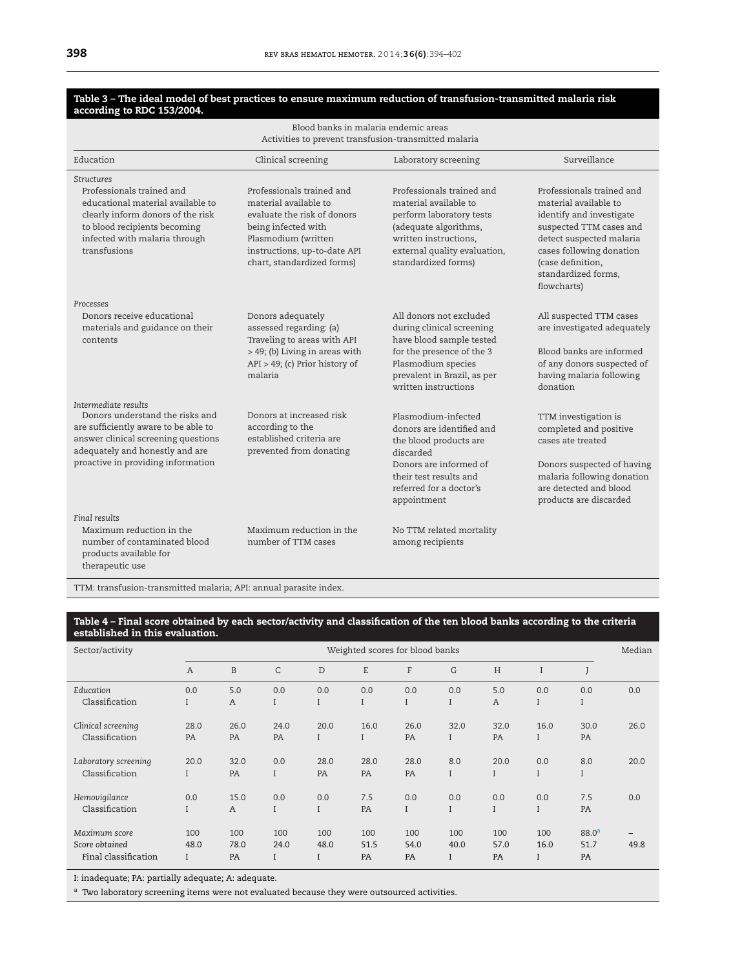# <span id="page-4-0"></span>Table 3 - The ideal model of best practices to ensure maximum reduction of transfusion-transmitted malaria risk **according to RDC 153/2004.**

| Blood banks in malaria endemic areas<br>Activities to prevent transfusion-transmitted malaria                                                                                                                   |                                                                                                                                                                                               |                                                                                                                                                                                            |                                                                                                                                                                                                                              |  |  |  |  |  |  |
|-----------------------------------------------------------------------------------------------------------------------------------------------------------------------------------------------------------------|-----------------------------------------------------------------------------------------------------------------------------------------------------------------------------------------------|--------------------------------------------------------------------------------------------------------------------------------------------------------------------------------------------|------------------------------------------------------------------------------------------------------------------------------------------------------------------------------------------------------------------------------|--|--|--|--|--|--|
| Education                                                                                                                                                                                                       | Clinical screening                                                                                                                                                                            | Laboratory screening                                                                                                                                                                       | Surveillance                                                                                                                                                                                                                 |  |  |  |  |  |  |
| <b>Structures</b><br>Professionals trained and<br>educational material available to<br>clearly inform donors of the risk<br>to blood recipients becoming<br>infected with malaria through<br>transfusions       | Professionals trained and<br>material available to<br>evaluate the risk of donors<br>being infected with<br>Plasmodium (written<br>instructions, up-to-date API<br>chart, standardized forms) | Professionals trained and<br>material available to<br>perform laboratory tests<br>(adequate algorithms,<br>written instructions.<br>external quality evaluation,<br>standardized forms)    | Professionals trained and<br>material available to<br>identify and investigate<br>suspected TTM cases and<br>detect suspected malaria<br>cases following donation<br>(case definition,<br>standardized forms,<br>flowcharts) |  |  |  |  |  |  |
| Processes<br>Donors receive educational<br>materials and guidance on their<br>contents                                                                                                                          | Donors adequately<br>assessed regarding: (a)<br>Traveling to areas with API<br>> 49; (b) Living in areas with<br>$API > 49$ ; (c) Prior history of<br>malaria                                 | All donors not excluded<br>during clinical screening<br>have blood sample tested<br>for the presence of the 3<br>Plasmodium species<br>prevalent in Brazil, as per<br>written instructions | All suspected TTM cases<br>are investigated adequately<br>Blood banks are informed<br>of any donors suspected of<br>having malaria following<br>donation                                                                     |  |  |  |  |  |  |
| Intermediate results<br>Donors understand the risks and<br>are sufficiently aware to be able to<br>answer clinical screening questions<br>adequately and honestly and are<br>proactive in providing information | Donors at increased risk<br>according to the<br>established criteria are<br>prevented from donating                                                                                           | Plasmodium-infected<br>donors are identified and<br>the blood products are<br>discarded<br>Donors are informed of<br>their test results and<br>referred for a doctor's<br>appointment      | TTM investigation is<br>completed and positive<br>cases ate treated<br>Donors suspected of having<br>malaria following donation<br>are detected and blood<br>products are discarded                                          |  |  |  |  |  |  |
| Final results<br>Maximum reduction in the<br>number of contaminated blood<br>products available for<br>therapeutic use                                                                                          | Maximum reduction in the<br>number of TTM cases                                                                                                                                               | No TTM related mortality<br>among recipients                                                                                                                                               |                                                                                                                                                                                                                              |  |  |  |  |  |  |

TTM: transfusion-transmitted malaria; API: annual parasite index.

# Table 4 - Final score obtained by each sector/activity and classification of the ten blood banks according to the criteria **established in this evaluation.**

| Sector/activity                                         | Weighted scores for blood banks |                       |                          |                     |                   |                          |                  |                      |             |                                 | Median    |
|---------------------------------------------------------|---------------------------------|-----------------------|--------------------------|---------------------|-------------------|--------------------------|------------------|----------------------|-------------|---------------------------------|-----------|
|                                                         | $\overline{A}$                  | B                     | $\mathsf{C}$             | D                   | E                 | $\mathbf{F}$             | G                | H                    | I           |                                 |           |
| Education<br>Classification                             | 0.0<br>I                        | 5.0<br>$\mathcal{A}$  | 0.0<br>$\mathbf{r}$<br>1 | 0.0<br>$\mathbf I$  | 0.0<br>I          | 0.0                      | 0.0<br>I         | 5.0<br>$\mathcal{A}$ | 0.0         | 0.0<br>T                        | 0.0       |
| Clinical screening<br>Classification                    | 28.0<br>PA                      | 26.0<br>PA            | 24.0<br>PA               | 20.0<br>$\mathbf I$ | 16.0<br>I         | 26.0<br><b>PA</b>        | 32.0<br>I        | 32.0<br>PA           | 16.0        | 30.0<br>PA                      | 26.0      |
| Laboratory screening<br>Classification                  | 20.0<br>I                       | 32.0<br>PA            | 0.0<br>I                 | 28.0<br>PA          | 28.0<br>PA        | 28.0<br>PA               | 8.0<br>I         | 20.0                 | 0.0         | 8.0<br>I                        | 20.0      |
| Hemovigilance<br>Classification                         | 0.0<br>I                        | 15.0<br>$\mathcal{A}$ | 0.0<br>I                 | 0.0<br>I            | 7.5<br>PA         | 0.0                      | 0.0<br>I         | 0.0<br>I             | 0.0         | 7.5<br>PA                       | 0.0       |
| Maximum score<br>Score obtained<br>Final classification | 100<br>48.0                     | 100<br>78.0<br>PA     | 100<br>24.0<br>I         | 100<br>48.0         | 100<br>51.5<br>PA | 100<br>54.0<br><b>PA</b> | 100<br>40.0<br>I | 100<br>57.0<br>PA    | 100<br>16.0 | 88.0 <sup>a</sup><br>51.7<br>PA | -<br>49.8 |

I: inadequate; PA: partially adequate; A: adequate.

a Two laboratory screening items were not evaluated because they were outsourced activities.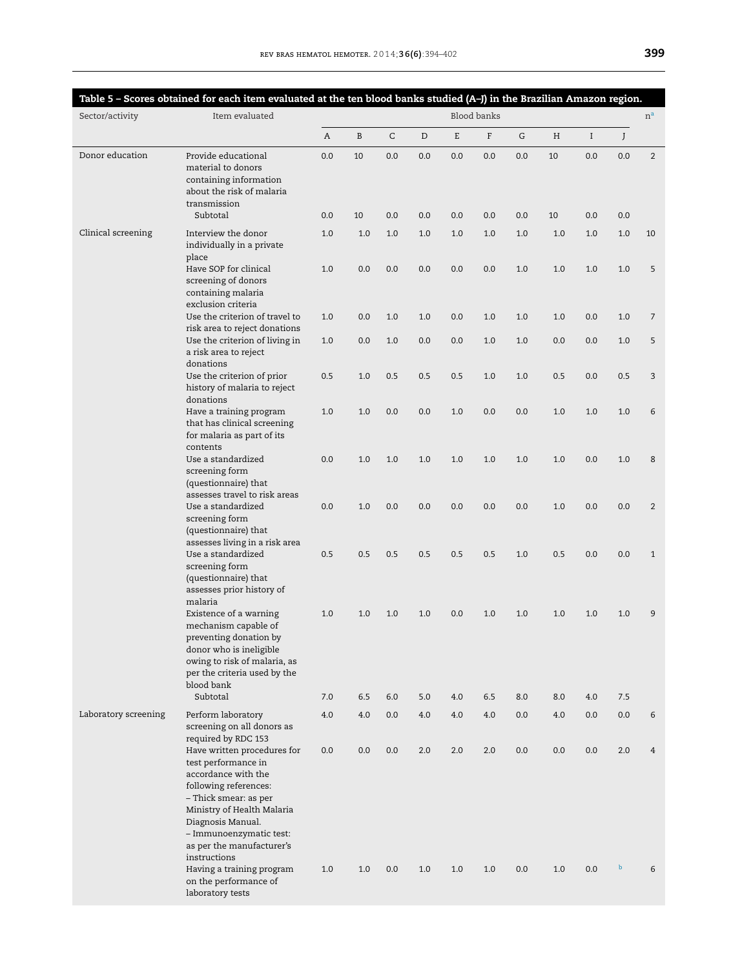<span id="page-5-0"></span>

|                      | Table 5 - Scores obtained for each item evaluated at the ten blood banks studied (A-J) in the Brazilian Amazon region.                                                                                                                                 |                    |              |         |     |             |                           |     |     |          |         |                |
|----------------------|--------------------------------------------------------------------------------------------------------------------------------------------------------------------------------------------------------------------------------------------------------|--------------------|--------------|---------|-----|-------------|---------------------------|-----|-----|----------|---------|----------------|
| Sector/activity      | Item evaluated                                                                                                                                                                                                                                         | <b>Blood banks</b> |              |         |     |             |                           |     |     |          |         |                |
|                      |                                                                                                                                                                                                                                                        | A                  | $\, {\bf B}$ | C       | D   | $\mathbf E$ | $\boldsymbol{\mathrm{F}}$ | G   | Η   | $\bf{I}$ | J       |                |
| Donor education      | Provide educational<br>material to donors<br>containing information<br>about the risk of malaria<br>transmission                                                                                                                                       | 0.0                | 10           | 0.0     | 0.0 | 0.0         | 0.0                       | 0.0 | 10  | 0.0      | 0.0     | $\overline{2}$ |
|                      | Subtotal                                                                                                                                                                                                                                               | 0.0                | 10           | 0.0     | 0.0 | 0.0         | 0.0                       | 0.0 | 10  | 0.0      | 0.0     |                |
| Clinical screening   | Interview the donor<br>individually in a private<br>place                                                                                                                                                                                              | 1.0                | 1.0          | 1.0     | 1.0 | 1.0         | 1.0                       | 1.0 | 1.0 | 1.0      | 1.0     | 10             |
|                      | Have SOP for clinical<br>screening of donors<br>containing malaria<br>exclusion criteria                                                                                                                                                               | 1.0                | 0.0          | 0.0     | 0.0 | 0.0         | 0.0                       | 1.0 | 1.0 | 1.0      | 1.0     | 5              |
|                      | Use the criterion of travel to<br>risk area to reject donations                                                                                                                                                                                        | 1.0                | 0.0          | 1.0     | 1.0 | 0.0         | 1.0                       | 1.0 | 1.0 | 0.0      | 1.0     | $\overline{7}$ |
|                      | Use the criterion of living in<br>a risk area to reject<br>donations                                                                                                                                                                                   | 1.0                | 0.0          | 1.0     | 0.0 | 0.0         | 1.0                       | 1.0 | 0.0 | 0.0      | 1.0     | 5              |
|                      | Use the criterion of prior<br>history of malaria to reject<br>donations                                                                                                                                                                                | 0.5                | 1.0          | 0.5     | 0.5 | 0.5         | 1.0                       | 1.0 | 0.5 | 0.0      | 0.5     | 3              |
|                      | Have a training program<br>that has clinical screening<br>for malaria as part of its                                                                                                                                                                   | 1.0                | 1.0          | 0.0     | 0.0 | 1.0         | 0.0                       | 0.0 | 1.0 | 1.0      | 1.0     | 6              |
|                      | contents<br>Use a standardized<br>screening form<br>(questionnaire) that                                                                                                                                                                               | 0.0                | 1.0          | 1.0     | 1.0 | 1.0         | 1.0                       | 1.0 | 1.0 | 0.0      | 1.0     | 8              |
|                      | assesses travel to risk areas<br>Use a standardized<br>screening form<br>(questionnaire) that<br>assesses living in a risk area                                                                                                                        | 0.0                | 1.0          | 0.0     | 0.0 | 0.0         | 0.0                       | 0.0 | 1.0 | 0.0      | 0.0     | $\overline{2}$ |
|                      | Use a standardized<br>screening form<br>(questionnaire) that<br>assesses prior history of                                                                                                                                                              | 0.5                | 0.5          | 0.5     | 0.5 | 0.5         | 0.5                       | 1.0 | 0.5 | 0.0      | 0.0     | $\mathbf{1}$   |
|                      | malaria<br>Existence of a warning<br>mechanism capable of<br>preventing donation by<br>donor who is ineligible<br>owing to risk of malaria, as<br>per the criteria used by the<br>blood bank                                                           | 1.0                | 1.0          | 1.0     | 1.0 | 0.0         | 1.0                       | 1.0 | 1.0 | 1.0      | 1.0     | 9              |
|                      | Subtotal                                                                                                                                                                                                                                               | $7.0$              | 6.5          | $6.0\,$ | 5.0 | 4.0         | 6.5                       | 8.0 | 8.0 | $4.0$    | 7.5     |                |
| Laboratory screening | Perform laboratory<br>screening on all donors as<br>required by RDC 153                                                                                                                                                                                | 4.0                | 4.0          | $0.0\,$ | 4.0 | 4.0         | 4.0                       | 0.0 | 4.0 | 0.0      | $0.0\,$ | 6              |
|                      | Have written procedures for<br>test performance in<br>accordance with the<br>following references:<br>- Thick smear: as per<br>Ministry of Health Malaria<br>Diagnosis Manual.<br>- Immunoenzymatic test:<br>as per the manufacturer's<br>instructions | 0.0                | 0.0          | 0.0     | 2.0 | 2.0         | 2.0                       | 0.0 | 0.0 | 0.0      | 2.0     | $\overline{4}$ |
|                      | Having a training program<br>on the performance of<br>laboratory tests                                                                                                                                                                                 | 1.0                | 1.0          | 0.0     | 1.0 | 1.0         | 1.0                       | 0.0 | 1.0 | 0.0      | $\,b\,$ | 6              |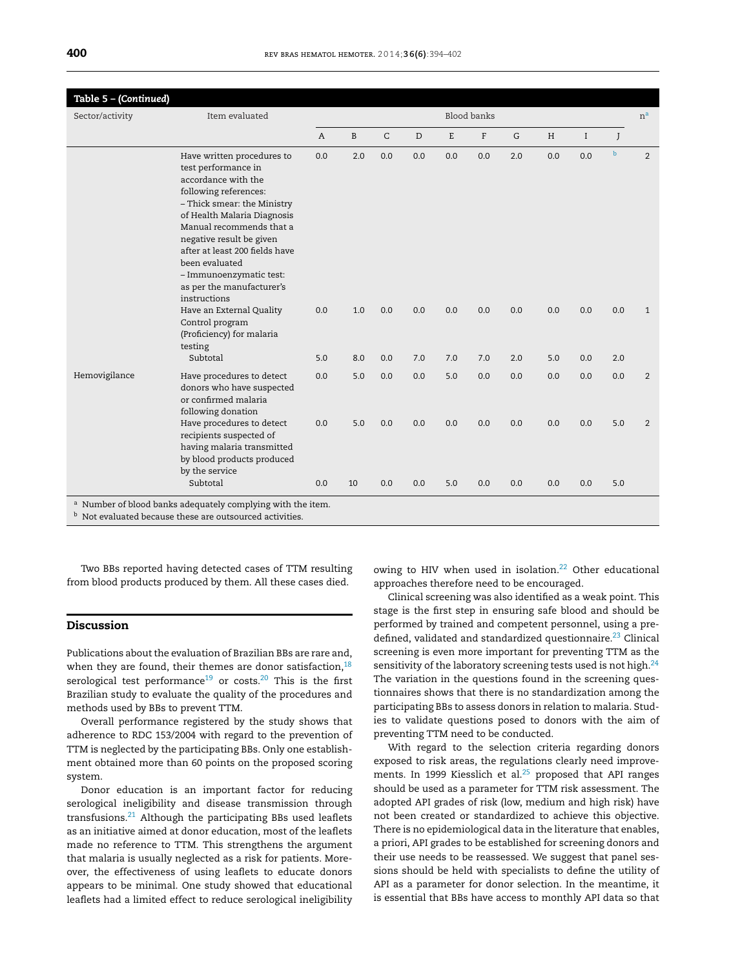<span id="page-6-0"></span>

| Table 5 - (Continued) |                                                                                                                                                                                                                                                                                                                                                     |              |            |              |            |            |                    |            |            |              |             |                |
|-----------------------|-----------------------------------------------------------------------------------------------------------------------------------------------------------------------------------------------------------------------------------------------------------------------------------------------------------------------------------------------------|--------------|------------|--------------|------------|------------|--------------------|------------|------------|--------------|-------------|----------------|
| Sector/activity       | Item evaluated                                                                                                                                                                                                                                                                                                                                      |              |            |              |            |            | <b>Blood banks</b> |            |            |              |             | $n^a$          |
|                       |                                                                                                                                                                                                                                                                                                                                                     | $\mathsf{A}$ | B          | $\mathsf{C}$ | D          | E          | F                  | G          | H          | $\mathbf{I}$ | J           |                |
|                       | Have written procedures to<br>test performance in<br>accordance with the<br>following references:<br>- Thick smear: the Ministry<br>of Health Malaria Diagnosis<br>Manual recommends that a<br>negative result be given<br>after at least 200 fields have<br>been evaluated<br>- Immunoenzymatic test:<br>as per the manufacturer's<br>instructions | 0.0          | 2.0        | 0.0          | 0.0        | 0.0        | 0.0                | 2.0        | 0.0        | 0.0          | $\mathbf b$ | 2              |
|                       | Have an External Quality<br>Control program<br>(Proficiency) for malaria<br>testing<br>Subtotal                                                                                                                                                                                                                                                     | 0.0<br>5.0   | 1.0<br>8.0 | 0.0<br>0.0   | 0.0<br>7.0 | 0.0<br>7.0 | 0.0<br>7.0         | 0.0<br>2.0 | 0.0<br>5.0 | 0.0<br>0.0   | 0.0<br>2.0  | $\mathbf{1}$   |
| Hemovigilance         | Have procedures to detect<br>donors who have suspected<br>or confirmed malaria<br>following donation                                                                                                                                                                                                                                                | 0.0          | 5.0        | 0.0          | 0.0        | 5.0        | 0.0                | 0.0        | 0.0        | 0.0          | 0.0         | $\overline{2}$ |
|                       | Have procedures to detect<br>recipients suspected of<br>having malaria transmitted<br>by blood products produced<br>by the service                                                                                                                                                                                                                  | 0.0          | 5.0        | 0.0          | 0.0        | 0.0        | 0.0                | 0.0        | 0.0        | 0.0          | 5.0         | 2              |
|                       | Subtotal                                                                                                                                                                                                                                                                                                                                            | 0.0          | 10         | 0.0          | 0.0        | 5.0        | 0.0                | 0.0        | 0.0        | 0.0          | 5.0         |                |
|                       | <sup>a</sup> Number of blood banks adequately complying with the item.                                                                                                                                                                                                                                                                              |              |            |              |            |            |                    |            |            |              |             |                |

**b** Not evaluated because these are outsourced activities.

Two BBs reported having detected cases of TTM resulting from blood products produced by them. All these cases died.

# **Discussion**

Publications about the evaluation of Brazilian BBs are rare and, when they are found, their themes are donor satisfaction,  $18$ serological test performance<sup>19</sup> or costs.<sup>[20](#page-8-0)</sup> This is the first Brazilian study to evaluate the quality of the procedures and methods used by BBs to prevent TTM.

Overall performance registered by the study shows that adherence to RDC 153/2004 with regard to the prevention of TTM is neglected by the participating BBs. Only one establishment obtained more than 60 points on the proposed scoring system.

Donor education is an important factor for reducing serological ineligibility and disease transmission through transfusions[.21](#page-8-0) Although the participating BBs used leaflets as an initiative aimed at donor education, most of the leaflets made no reference to TTM. This strengthens the argument that malaria is usually neglected as a risk for patients. Moreover, the effectiveness of using leaflets to educate donors appears to be minimal. One study showed that educational leaflets had a limited effect to reduce serological ineligibility owing to HIV when used in isolation. $22$  Other educational approaches therefore need to be encouraged.

Clinical screening was also identified as a weak point. This stage is the first step in ensuring safe blood and should be performed by trained and competent personnel, using a predefined, validated and standardized questionnaire. $^{23}$  Clinical screening is even more important for preventing TTM as the sensitivity of the laboratory screening tests used is not high. $^{24}$ The variation in the questions found in the screening questionnaires shows that there is no standardization among the participating BBs to assess donors in relation to malaria. Studies to validate questions posed to donors with the aim of preventing TTM need to be conducted.

With regard to the selection criteria regarding donors exposed to risk areas, the regulations clearly need improvements. In 1999 Kiesslich et al. $25$  proposed that API ranges should be used as a parameter for TTM risk assessment. The adopted API grades of risk (low, medium and high risk) have not been created or standardized to achieve this objective. There is no epidemiological data in the literature that enables, a priori, API grades to be established for screening donors and their use needs to be reassessed. We suggest that panel sessions should be held with specialists to define the utility of API as a parameter for donor selection. In the meantime, it is essential that BBs have access to monthly API data so that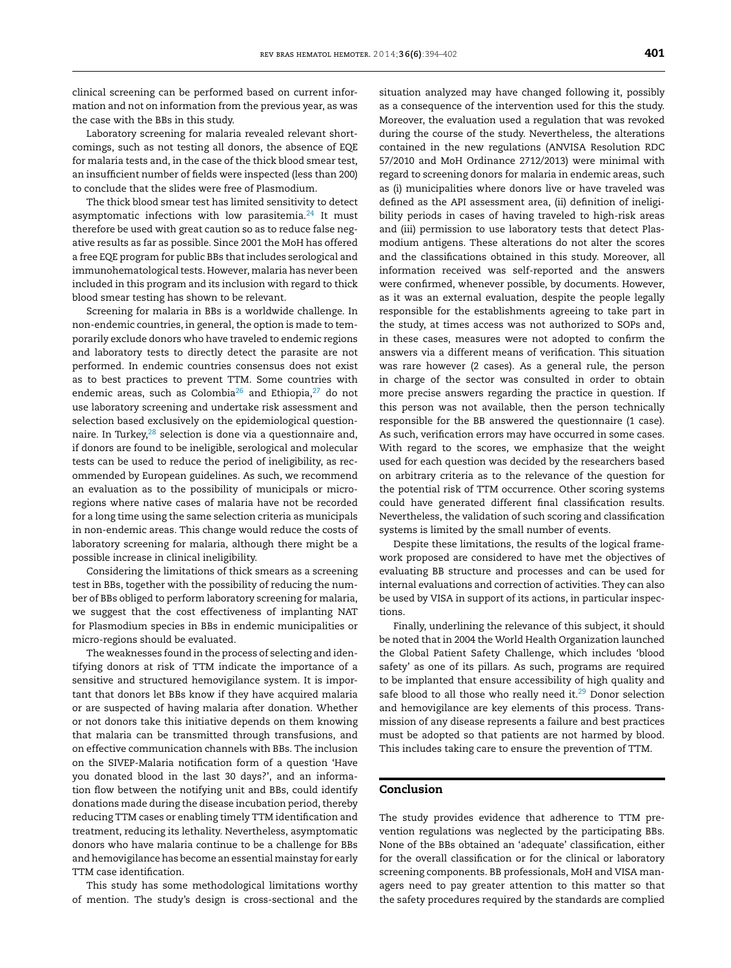clinical screening can be performed based on current information and not on information from the previous year, as was the case with the BBs in this study.

Laboratory screening for malaria revealed relevant shortcomings, such as not testing all donors, the absence of EQE for malaria tests and, in the case of the thick blood smear test, an insufficient number of fields were inspected (less than 200) to conclude that the slides were free of Plasmodium.

The thick blood smear test has limited sensitivity to detect asymptomatic infections with low parasitemia. $24$  It must therefore be used with great caution so as to reduce false negative results as far as possible. Since 2001 the MoH has offered a free EQE program for public BBs that includes serological and immunohematological tests. However, malaria has never been included in this program and its inclusion with regard to thick blood smear testing has shown to be relevant.

Screening for malaria in BBs is a worldwide challenge. In non-endemic countries, in general, the option is made to temporarily exclude donors who have traveled to endemic regions and laboratory tests to directly detect the parasite are not performed. In endemic countries consensus does not exist as to best practices to prevent TTM. Some countries with endemic areas, such as Colombia<sup>[26](#page-8-0)</sup> and Ethiopia,<sup>27</sup> do not use laboratory screening and undertake risk assessment and selection based exclusively on the epidemiological questionnaire. In Turkey, $28$  selection is done via a questionnaire and, if donors are found to be ineligible, serological and molecular tests can be used to reduce the period of ineligibility, as recommended by European guidelines. As such, we recommend an evaluation as to the possibility of municipals or microregions where native cases of malaria have not be recorded for a long time using the same selection criteria as municipals in non-endemic areas. This change would reduce the costs of laboratory screening for malaria, although there might be a possible increase in clinical ineligibility.

Considering the limitations of thick smears as a screening test in BBs, together with the possibility of reducing the number of BBs obliged to perform laboratory screening for malaria, we suggest that the cost effectiveness of implanting NAT for Plasmodium species in BBs in endemic municipalities or micro-regions should be evaluated.

The weaknesses found in the process of selecting and identifying donors at risk of TTM indicate the importance of a sensitive and structured hemovigilance system. It is important that donors let BBs know if they have acquired malaria or are suspected of having malaria after donation. Whether or not donors take this initiative depends on them knowing that malaria can be transmitted through transfusions, and on effective communication channels with BBs. The inclusion on the SIVEP-Malaria notification form of a question 'Have you donated blood in the last 30 days?', and an information flow between the notifying unit and BBs, could identify donations made during the disease incubation period, thereby reducing TTM cases or enabling timely TTM identification and treatment, reducing its lethality. Nevertheless, asymptomatic donors who have malaria continue to be a challenge for BBs and hemovigilance has become an essential mainstay for early TTM case identification.

This study has some methodological limitations worthy of mention. The study's design is cross-sectional and the situation analyzed may have changed following it, possibly as a consequence of the intervention used for this the study. Moreover, the evaluation used a regulation that was revoked during the course of the study. Nevertheless, the alterations contained in the new regulations (ANVISA Resolution RDC 57/2010 and MoH Ordinance 2712/2013) were minimal with regard to screening donors for malaria in endemic areas, such as (i) municipalities where donors live or have traveled was defined as the API assessment area, (ii) definition of ineligibility periods in cases of having traveled to high-risk areas and (iii) permission to use laboratory tests that detect Plasmodium antigens. These alterations do not alter the scores and the classifications obtained in this study. Moreover, all information received was self-reported and the answers were confirmed, whenever possible, by documents. However, as it was an external evaluation, despite the people legally responsible for the establishments agreeing to take part in the study, at times access was not authorized to SOPs and, in these cases, measures were not adopted to confirm the answers via a different means of verification. This situation was rare however (2 cases). As a general rule, the person in charge of the sector was consulted in order to obtain more precise answers regarding the practice in question. If this person was not available, then the person technically responsible for the BB answered the questionnaire (1 case). As such, verification errors may have occurred in some cases. With regard to the scores, we emphasize that the weight used for each question was decided by the researchers based on arbitrary criteria as to the relevance of the question for the potential risk of TTM occurrence. Other scoring systems could have generated different final classification results. Nevertheless, the validation of such scoring and classification systems is limited by the small number of events.

Despite these limitations, the results of the logical framework proposed are considered to have met the objectives of evaluating BB structure and processes and can be used for internal evaluations and correction of activities. They can also be used by VISA in support of its actions, in particular inspections.

Finally, underlining the relevance of this subject, it should be noted that in 2004 the World Health Organization launched the Global Patient Safety Challenge, which includes 'blood safety' as one of its pillars. As such, programs are required to be implanted that ensure accessibility of high quality and safe blood to all those who really need it.<sup>[29](#page-8-0)</sup> Donor selection and hemovigilance are key elements of this process. Transmission of any disease represents a failure and best practices must be adopted so that patients are not harmed by blood. This includes taking care to ensure the prevention of TTM.

#### **Conclusion**

The study provides evidence that adherence to TTM prevention regulations was neglected by the participating BBs. None of the BBs obtained an 'adequate' classification, either for the overall classification or for the clinical or laboratory screening components. BB professionals, MoH and VISA managers need to pay greater attention to this matter so that the safety procedures required by the standards are complied